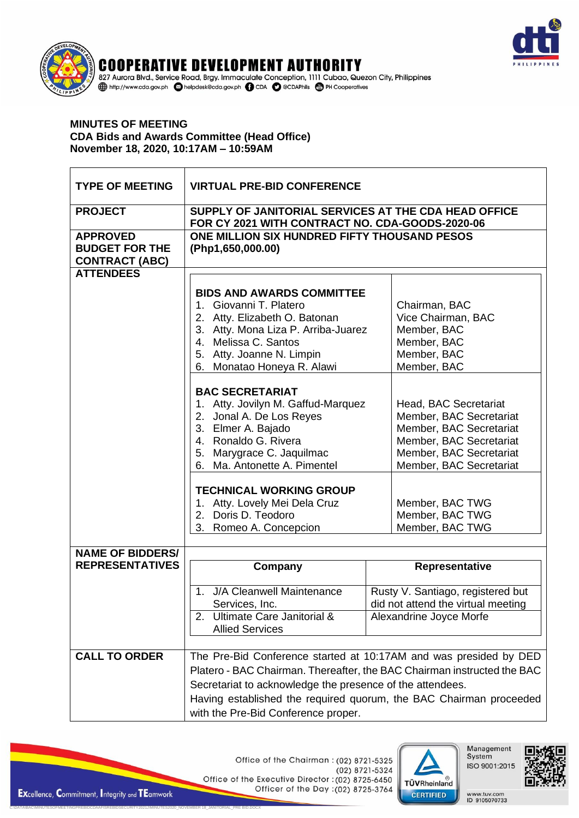

## **COOPERATIVE DEVELOPMENT AUTHORITY** 827 Aurora Blvd., Service Road, Brgy. Immaculate Conception, 1111 Cubao, Quezon City, Philippines http://www.cda.gov.ph | blelpdesk@cda.gov.ph | C CDA | C @CDAPhils | C PH Cooperatives

## **MINUTES OF MEETING CDA Bids and Awards Committee (Head Office)** November 18, 2020, 10:17AM - 10:59AM

| <b>TYPE OF MEETING</b>                                            | <b>VIRTUAL PRE-BID CONFERENCE</b>                                                                                                                                                                                                                                                                                      |                                                                                                                                                              |  |
|-------------------------------------------------------------------|------------------------------------------------------------------------------------------------------------------------------------------------------------------------------------------------------------------------------------------------------------------------------------------------------------------------|--------------------------------------------------------------------------------------------------------------------------------------------------------------|--|
| <b>PROJECT</b>                                                    | SUPPLY OF JANITORIAL SERVICES AT THE CDA HEAD OFFICE<br>FOR CY 2021 WITH CONTRACT NO. CDA-GOODS-2020-06                                                                                                                                                                                                                |                                                                                                                                                              |  |
| <b>APPROVED</b><br><b>BUDGET FOR THE</b><br><b>CONTRACT (ABC)</b> | ONE MILLION SIX HUNDRED FIFTY THOUSAND PESOS<br>(Php1,650,000.00)                                                                                                                                                                                                                                                      |                                                                                                                                                              |  |
| <b>ATTENDEES</b>                                                  |                                                                                                                                                                                                                                                                                                                        |                                                                                                                                                              |  |
|                                                                   | <b>BIDS AND AWARDS COMMITTEE</b><br>1. Giovanni T. Platero<br>2. Atty. Elizabeth O. Batonan<br>3. Atty. Mona Liza P. Arriba-Juarez<br>4. Melissa C. Santos<br>5. Atty. Joanne N. Limpin<br>6. Monatao Honeya R. Alawi                                                                                                  | Chairman, BAC<br>Vice Chairman, BAC<br>Member, BAC<br>Member, BAC<br>Member, BAC<br>Member, BAC                                                              |  |
|                                                                   | <b>BAC SECRETARIAT</b><br>1. Atty. Jovilyn M. Gaffud-Marquez<br>2. Jonal A. De Los Reyes<br>3. Elmer A. Bajado<br>4. Ronaldo G. Rivera<br>5. Marygrace C. Jaquilmac<br>6. Ma. Antonette A. Pimentel                                                                                                                    | Head, BAC Secretariat<br>Member, BAC Secretariat<br>Member, BAC Secretariat<br>Member, BAC Secretariat<br>Member, BAC Secretariat<br>Member, BAC Secretariat |  |
|                                                                   | <b>TECHNICAL WORKING GROUP</b><br>1. Atty. Lovely Mei Dela Cruz<br>Doris D. Teodoro<br>2.<br>3. Romeo A. Concepcion                                                                                                                                                                                                    | Member, BAC TWG<br>Member, BAC TWG<br>Member, BAC TWG                                                                                                        |  |
| <b>NAME OF BIDDERS/</b>                                           |                                                                                                                                                                                                                                                                                                                        |                                                                                                                                                              |  |
| <b>REPRESENTATIVES</b>                                            | Company<br>J/A Cleanwell Maintenance<br>1.<br>Services, Inc.<br>Ultimate Care Janitorial &<br>2.<br><b>Allied Services</b>                                                                                                                                                                                             | Representative<br>Rusty V. Santiago, registered but<br>did not attend the virtual meeting<br>Alexandrine Joyce Morfe                                         |  |
| <b>CALL TO ORDER</b>                                              | The Pre-Bid Conference started at 10:17AM and was presided by DED<br>Platero - BAC Chairman. Thereafter, the BAC Chairman instructed the BAC<br>Secretariat to acknowledge the presence of the attendees.<br>Having established the required quorum, the BAC Chairman proceeded<br>with the Pre-Bid Conference proper. |                                                                                                                                                              |  |

Office of the Chairman: (02) 8721-5325 (02) 8721-5324 Office of the Executive Director : (02) 8725-6450 Officer of the Day : (02) 8725-3764



Management<br>System ISO 9001:2015

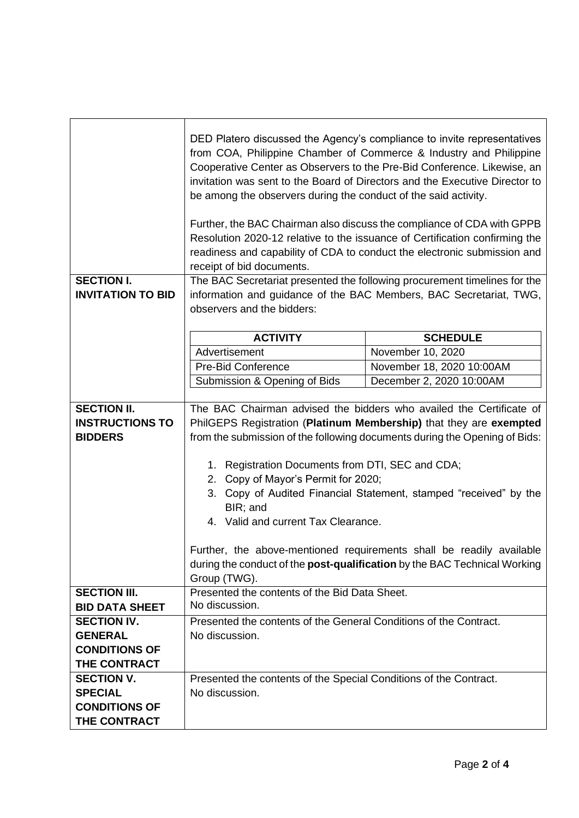|                                               | DED Platero discussed the Agency's compliance to invite representatives<br>from COA, Philippine Chamber of Commerce & Industry and Philippine<br>Cooperative Center as Observers to the Pre-Bid Conference. Likewise, an<br>invitation was sent to the Board of Directors and the Executive Director to<br>be among the observers during the conduct of the said activity. |                                                                     |  |
|-----------------------------------------------|----------------------------------------------------------------------------------------------------------------------------------------------------------------------------------------------------------------------------------------------------------------------------------------------------------------------------------------------------------------------------|---------------------------------------------------------------------|--|
|                                               | Further, the BAC Chairman also discuss the compliance of CDA with GPPB<br>Resolution 2020-12 relative to the issuance of Certification confirming the<br>readiness and capability of CDA to conduct the electronic submission and<br>receipt of bid documents.                                                                                                             |                                                                     |  |
| <b>SECTION I.</b><br><b>INVITATION TO BID</b> | The BAC Secretariat presented the following procurement timelines for the<br>information and guidance of the BAC Members, BAC Secretariat, TWG,<br>observers and the bidders:                                                                                                                                                                                              |                                                                     |  |
|                                               |                                                                                                                                                                                                                                                                                                                                                                            |                                                                     |  |
|                                               | <b>ACTIVITY</b><br>Advertisement                                                                                                                                                                                                                                                                                                                                           | <b>SCHEDULE</b>                                                     |  |
|                                               |                                                                                                                                                                                                                                                                                                                                                                            | November 10, 2020                                                   |  |
|                                               | <b>Pre-Bid Conference</b>                                                                                                                                                                                                                                                                                                                                                  | November 18, 2020 10:00AM                                           |  |
|                                               | Submission & Opening of Bids                                                                                                                                                                                                                                                                                                                                               | December 2, 2020 10:00AM                                            |  |
| <b>SECTION II.</b>                            |                                                                                                                                                                                                                                                                                                                                                                            | The BAC Chairman advised the bidders who availed the Certificate of |  |
| <b>INSTRUCTIONS TO</b>                        | PhilGEPS Registration (Platinum Membership) that they are exempted                                                                                                                                                                                                                                                                                                         |                                                                     |  |
| <b>BIDDERS</b>                                | from the submission of the following documents during the Opening of Bids:                                                                                                                                                                                                                                                                                                 |                                                                     |  |
|                                               | 1. Registration Documents from DTI, SEC and CDA;<br>2. Copy of Mayor's Permit for 2020;<br>3. Copy of Audited Financial Statement, stamped "received" by the<br>BIR; and<br>4. Valid and current Tax Clearance.<br>Further, the above-mentioned requirements shall be readily available                                                                                    |                                                                     |  |
|                                               | during the conduct of the post-qualification by the BAC Technical Working<br>Group (TWG).                                                                                                                                                                                                                                                                                  |                                                                     |  |
| <b>SECTION III.</b><br><b>BID DATA SHEET</b>  | Presented the contents of the Bid Data Sheet.<br>No discussion.                                                                                                                                                                                                                                                                                                            |                                                                     |  |
| <b>SECTION IV.</b>                            | Presented the contents of the General Conditions of the Contract.                                                                                                                                                                                                                                                                                                          |                                                                     |  |
| <b>GENERAL</b>                                | No discussion.                                                                                                                                                                                                                                                                                                                                                             |                                                                     |  |
| <b>CONDITIONS OF</b>                          |                                                                                                                                                                                                                                                                                                                                                                            |                                                                     |  |
| THE CONTRACT                                  |                                                                                                                                                                                                                                                                                                                                                                            |                                                                     |  |
| <b>SECTION V.</b>                             | Presented the contents of the Special Conditions of the Contract.                                                                                                                                                                                                                                                                                                          |                                                                     |  |
| <b>SPECIAL</b>                                | No discussion.                                                                                                                                                                                                                                                                                                                                                             |                                                                     |  |
| <b>CONDITIONS OF</b>                          |                                                                                                                                                                                                                                                                                                                                                                            |                                                                     |  |
| THE CONTRACT                                  |                                                                                                                                                                                                                                                                                                                                                                            |                                                                     |  |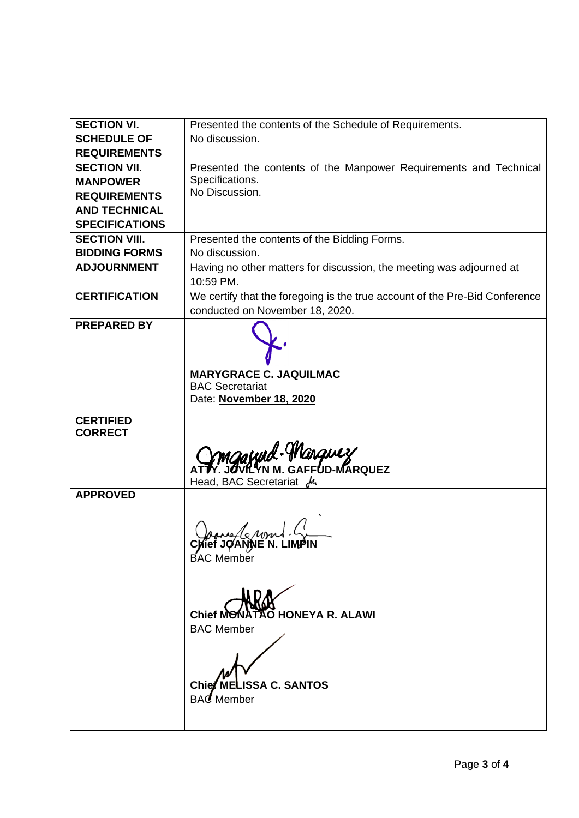| <b>SECTION VI.</b>    | Presented the contents of the Schedule of Requirements.                           |  |
|-----------------------|-----------------------------------------------------------------------------------|--|
| <b>SCHEDULE OF</b>    | No discussion.                                                                    |  |
| <b>REQUIREMENTS</b>   |                                                                                   |  |
| <b>SECTION VII.</b>   | Presented the contents of the Manpower Requirements and Technical                 |  |
| <b>MANPOWER</b>       | Specifications.                                                                   |  |
| <b>REQUIREMENTS</b>   | No Discussion.                                                                    |  |
| <b>AND TECHNICAL</b>  |                                                                                   |  |
| <b>SPECIFICATIONS</b> |                                                                                   |  |
| <b>SECTION VIII.</b>  | Presented the contents of the Bidding Forms.                                      |  |
| <b>BIDDING FORMS</b>  | No discussion.                                                                    |  |
| <b>ADJOURNMENT</b>    | Having no other matters for discussion, the meeting was adjourned at<br>10:59 PM. |  |
| <b>CERTIFICATION</b>  | We certify that the foregoing is the true account of the Pre-Bid Conference       |  |
|                       | conducted on November 18, 2020.                                                   |  |
| <b>PREPARED BY</b>    |                                                                                   |  |
|                       | <b>MARYGRACE C. JAQUILMAC</b>                                                     |  |
|                       | <b>BAC Secretariat</b>                                                            |  |
|                       | Date: November 18, 2020                                                           |  |
| <b>CERTIFIED</b>      |                                                                                   |  |
| <b>CORRECT</b>        |                                                                                   |  |
|                       | mgawd-Marquez<br>Fr. Javilin M. GAFFUD-MARQUEZ                                    |  |
|                       |                                                                                   |  |
| <b>APPROVED</b>       | Head, BAC Secretariat $\mu$                                                       |  |
|                       |                                                                                   |  |
|                       | <b>BAC</b> Member                                                                 |  |
|                       | O HONEYA R. ALAWI<br>Chief M <del>O</del> f<br><b>BAC Member</b>                  |  |
|                       | Chief MELISSA C. SANTOS<br><b>BAC</b> Member                                      |  |